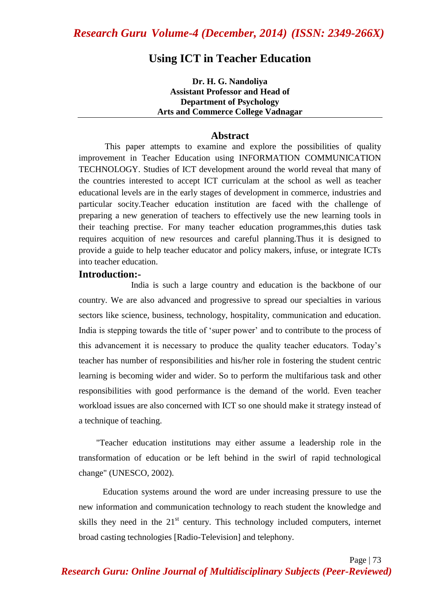## **Using ICT in Teacher Education**

**Dr. H. G. Nandoliya Assistant Professor and Head of Department of Psychology Arts and Commerce College Vadnagar**

#### **Abstract**

This paper attempts to examine and explore the possibilities of quality improvement in Teacher Education using INFORMATION COMMUNICATION TECHNOLOGY. Studies of ICT development around the world reveal that many of the countries interested to accept ICT curriculam at the school as well as teacher educational levels are in the early stages of development in commerce, industries and particular socity.Teacher education institution are faced with the challenge of preparing a new generation of teachers to effectively use the new learning tools in their teaching prectise. For many teacher education programmes,this duties task requires acquition of new resources and careful planning.Thus it is designed to provide a guide to help teacher educator and policy makers, infuse, or integrate ICTs into teacher education.

#### **Introduction:-**

India is such a large country and education is the backbone of our country. We are also advanced and progressive to spread our specialties in various sectors like science, business, technology, hospitality, communication and education. India is stepping towards the title of "super power" and to contribute to the process of this advancement it is necessary to produce the quality teacher educators. Today"s teacher has number of responsibilities and his/her role in fostering the student centric learning is becoming wider and wider. So to perform the multifarious task and other responsibilities with good performance is the demand of the world. Even teacher workload issues are also concerned with ICT so one should make it strategy instead of a technique of teaching.

 "Teacher education institutions may either assume a leadership role in the transformation of education or be left behind in the swirl of rapid technological change" (UNESCO, 2002).

 Education systems around the word are under increasing pressure to use the new information and communication technology to reach student the knowledge and skills they need in the  $21<sup>st</sup>$  century. This technology included computers, internet broad casting technologies [Radio-Television] and telephony.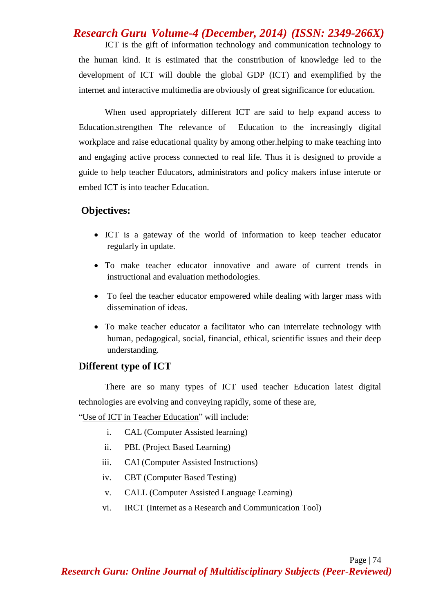## *Research Guru Volume-4 (December, 2014) (ISSN: 2349-266X)*

ICT is the gift of information technology and communication technology to the human kind. It is estimated that the constribution of knowledge led to the development of ICT will double the global GDP (ICT) and exemplified by the internet and interactive multimedia are obviously of great significance for education.

When used appropriately different ICT are said to help expand access to Education.strengthen The relevance of Education to the increasingly digital workplace and raise educational quality by among other.helping to make teaching into and engaging active process connected to real life. Thus it is designed to provide a guide to help teacher Educators, administrators and policy makers infuse interute or embed ICT is into teacher Education.

#### **Objectives:**

- ICT is a gateway of the world of information to keep teacher educator regularly in update.
- To make teacher educator innovative and aware of current trends in instructional and evaluation methodologies.
- To feel the teacher educator empowered while dealing with larger mass with dissemination of ideas.
- To make teacher educator a facilitator who can interrelate technology with human, pedagogical, social, financial, ethical, scientific issues and their deep understanding.

### **Different type of ICT**

There are so many types of ICT used teacher Education latest digital technologies are evolving and conveying rapidly, some of these are,

"Use of ICT in Teacher Education" will include:

- i. CAL (Computer Assisted learning)
- ii. PBL (Project Based Learning)
- iii. CAI (Computer Assisted Instructions)
- iv. CBT (Computer Based Testing)
- v. CALL (Computer Assisted Language Learning)
- vi. IRCT (Internet as a Research and Communication Tool)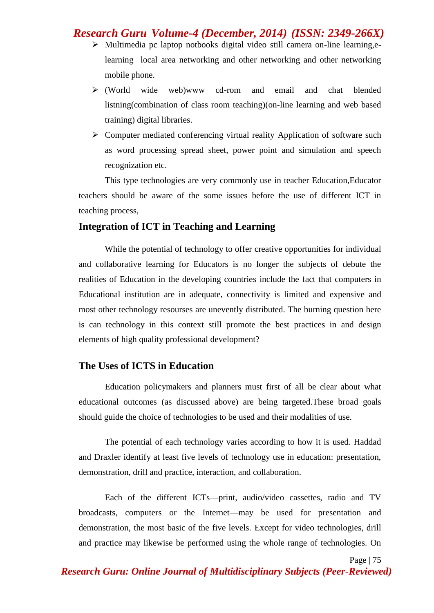## *Research Guru Volume-4 (December, 2014) (ISSN: 2349-266X)*

- $\triangleright$  Multimedia pc laptop notbooks digital video still camera on-line learning, elearning local area networking and other networking and other networking mobile phone.
- (World wide web)www cd-rom and email and chat blended listning(combination of class room teaching)(on-line learning and web based training) digital libraries.
- $\triangleright$  Computer mediated conferencing virtual reality Application of software such as word processing spread sheet, power point and simulation and speech recognization etc.

This type technologies are very commonly use in teacher Education,Educator teachers should be aware of the some issues before the use of different ICT in teaching process,

#### **Integration of ICT in Teaching and Learning**

While the potential of technology to offer creative opportunities for individual and collaborative learning for Educators is no longer the subjects of debute the realities of Education in the developing countries include the fact that computers in Educational institution are in adequate, connectivity is limited and expensive and most other technology resourses are unevently distributed. The burning question here is can technology in this context still promote the best practices in and design elements of high quality professional development?

### **The Uses of ICTS in Education**

Education policymakers and planners must first of all be clear about what educational outcomes (as discussed above) are being targeted.These broad goals should guide the choice of technologies to be used and their modalities of use.

The potential of each technology varies according to how it is used. Haddad and Draxler identify at least five levels of technology use in education: presentation, demonstration, drill and practice, interaction, and collaboration.

Each of the different ICTs—print, audio/video cassettes, radio and TV broadcasts, computers or the Internet—may be used for presentation and demonstration, the most basic of the five levels. Except for video technologies, drill and practice may likewise be performed using the whole range of technologies. On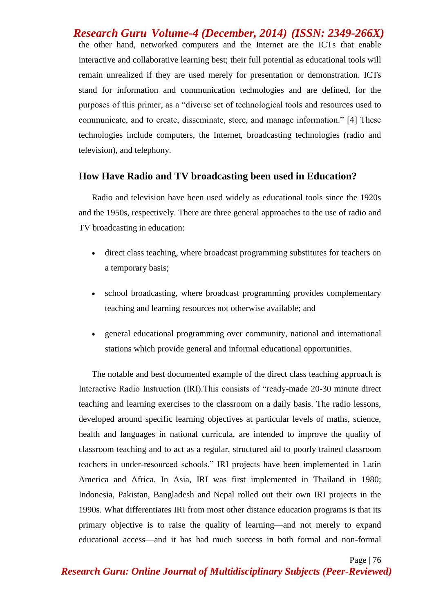*Research Guru Volume-4 (December, 2014) (ISSN: 2349-266X)* the other hand, networked computers and the Internet are the ICTs that enable interactive and collaborative learning best; their full potential as educational tools will remain unrealized if they are used merely for presentation or demonstration. ICTs stand for information and communication technologies and are defined, for the purposes of this primer, as a "diverse set of technological tools and resources used to communicate, and to create, disseminate, store, and manage information." [4] These technologies include computers, the Internet, broadcasting technologies (radio and television), and telephony.

#### **How Have Radio and TV broadcasting been used in Education?**

Radio and television have been used widely as educational tools since the 1920s and the 1950s, respectively. There are three general approaches to the use of radio and TV broadcasting in education:

- direct class teaching, where broadcast programming substitutes for teachers on a temporary basis;
- school broadcasting, where broadcast programming provides complementary teaching and learning resources not otherwise available; and
- general educational programming over community, national and international stations which provide general and informal educational opportunities.

The notable and best documented example of the direct class teaching approach is Interactive Radio Instruction (IRI).This consists of "ready-made 20-30 minute direct teaching and learning exercises to the classroom on a daily basis. The radio lessons, developed around specific learning objectives at particular levels of maths, science, health and languages in national curricula, are intended to improve the quality of classroom teaching and to act as a regular, structured aid to poorly trained classroom teachers in under-resourced schools." IRI projects have been implemented in Latin America and Africa. In Asia, IRI was first implemented in Thailand in 1980; Indonesia, Pakistan, Bangladesh and Nepal rolled out their own IRI projects in the 1990s. What differentiates IRI from most other distance education programs is that its primary objective is to raise the quality of learning—and not merely to expand educational access—and it has had much success in both formal and non-formal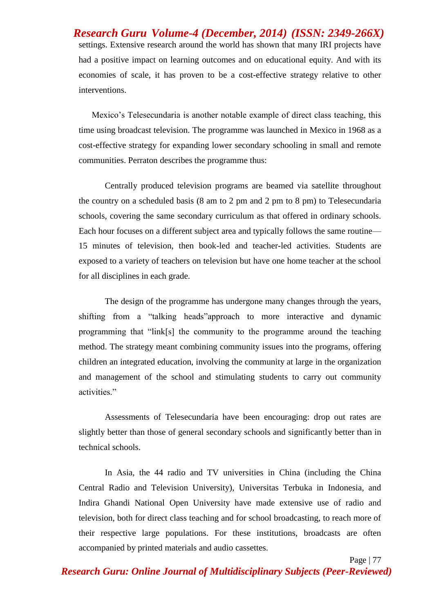*Research Guru Volume-4 (December, 2014) (ISSN: 2349-266X)* settings. Extensive research around the world has shown that many IRI projects have had a positive impact on learning outcomes and on educational equity. And with its economies of scale, it has proven to be a cost-effective strategy relative to other interventions.

Mexico"s Telesecundaria is another notable example of direct class teaching, this time using broadcast television. The programme was launched in Mexico in 1968 as a cost-effective strategy for expanding lower secondary schooling in small and remote communities. Perraton describes the programme thus:

 Centrally produced television programs are beamed via satellite throughout the country on a scheduled basis (8 am to 2 pm and 2 pm to 8 pm) to Telesecundaria schools, covering the same secondary curriculum as that offered in ordinary schools. Each hour focuses on a different subject area and typically follows the same routine— 15 minutes of television, then book-led and teacher-led activities. Students are exposed to a variety of teachers on television but have one home teacher at the school for all disciplines in each grade.

The design of the programme has undergone many changes through the years, shifting from a "talking heads"approach to more interactive and dynamic programming that "link[s] the community to the programme around the teaching method. The strategy meant combining community issues into the programs, offering children an integrated education, involving the community at large in the organization and management of the school and stimulating students to carry out community activities."

Assessments of Telesecundaria have been encouraging: drop out rates are slightly better than those of general secondary schools and significantly better than in technical schools.

In Asia, the 44 radio and TV universities in China (including the China Central Radio and Television University), Universitas Terbuka in Indonesia, and Indira Ghandi National Open University have made extensive use of radio and television, both for direct class teaching and for school broadcasting, to reach more of their respective large populations. For these institutions, broadcasts are often accompanied by printed materials and audio cassettes.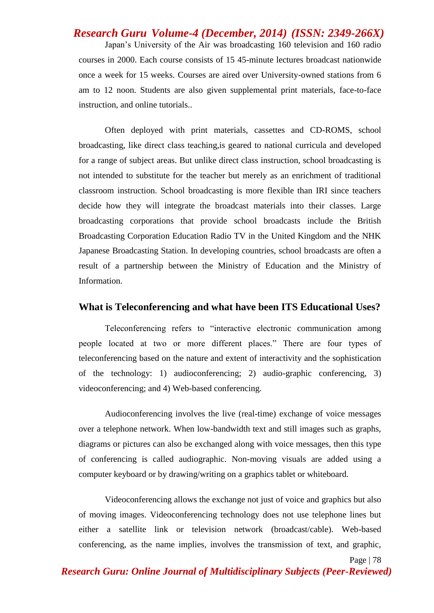# *Research Guru Volume-4 (December, 2014) (ISSN: 2349-266X)* Japan"s University of the Air was broadcasting 160 television and 160 radio courses in 2000. Each course consists of 15 45-minute lectures broadcast nationwide once a week for 15 weeks. Courses are aired over University-owned stations from 6 am to 12 noon. Students are also given supplemental print materials, face-to-face instruction, and online tutorials..

Often deployed with print materials, cassettes and CD-ROMS, school broadcasting, like direct class teaching,is geared to national curricula and developed for a range of subject areas. But unlike direct class instruction, school broadcasting is not intended to substitute for the teacher but merely as an enrichment of traditional classroom instruction. School broadcasting is more flexible than IRI since teachers decide how they will integrate the broadcast materials into their classes. Large broadcasting corporations that provide school broadcasts include the British Broadcasting Corporation Education Radio TV in the United Kingdom and the NHK Japanese Broadcasting Station. In developing countries, school broadcasts are often a result of a partnership between the Ministry of Education and the Ministry of Information.

#### **What is Teleconferencing and what have been ITS Educational Uses?**

Teleconferencing refers to "interactive electronic communication among people located at two or more different places." There are four types of teleconferencing based on the nature and extent of interactivity and the sophistication of the technology: 1) audioconferencing; 2) audio-graphic conferencing, 3) videoconferencing; and 4) Web-based conferencing.

Audioconferencing involves the live (real-time) exchange of voice messages over a telephone network. When low-bandwidth text and still images such as graphs, diagrams or pictures can also be exchanged along with voice messages, then this type of conferencing is called audiographic. Non-moving visuals are added using a computer keyboard or by drawing/writing on a graphics tablet or whiteboard.

Videoconferencing allows the exchange not just of voice and graphics but also of moving images. Videoconferencing technology does not use telephone lines but either a satellite link or television network (broadcast/cable). Web-based conferencing, as the name implies, involves the transmission of text, and graphic,

Page | 78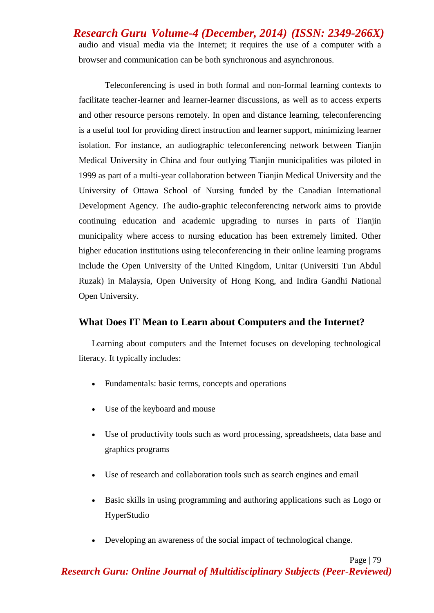*Research Guru Volume-4 (December, 2014) (ISSN: 2349-266X)* audio and visual media via the Internet; it requires the use of a computer with a browser and communication can be both synchronous and asynchronous.

Teleconferencing is used in both formal and non-formal learning contexts to facilitate teacher-learner and learner-learner discussions, as well as to access experts and other resource persons remotely. In open and distance learning, teleconferencing is a useful tool for providing direct instruction and learner support, minimizing learner isolation. For instance, an audiographic teleconferencing network between Tianjin Medical University in China and four outlying Tianjin municipalities was piloted in 1999 as part of a multi-year collaboration between Tianjin Medical University and the University of Ottawa School of Nursing funded by the Canadian International Development Agency. The audio-graphic teleconferencing network aims to provide continuing education and academic upgrading to nurses in parts of Tianjin municipality where access to nursing education has been extremely limited. Other higher education institutions using teleconferencing in their online learning programs include the Open University of the United Kingdom, Unitar (Universiti Tun Abdul Ruzak) in Malaysia, Open University of Hong Kong, and Indira Gandhi National Open University.

### **What Does IT Mean to Learn about Computers and the Internet?**

Learning about computers and the Internet focuses on developing technological literacy. It typically includes:

- Fundamentals: basic terms, concepts and operations
- Use of the keyboard and mouse
- Use of productivity tools such as word processing, spreadsheets, data base and graphics programs
- Use of research and collaboration tools such as search engines and email
- Basic skills in using programming and authoring applications such as Logo or HyperStudio
- Developing an awareness of the social impact of technological change.

Page | 79 *Research Guru: Online Journal of Multidisciplinary Subjects (Peer-Reviewed)*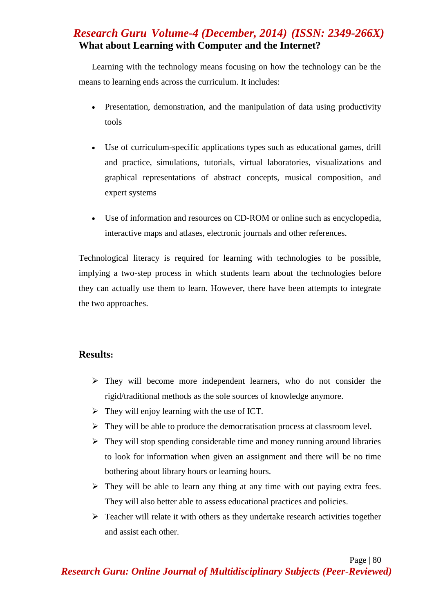## *Research Guru Volume-4 (December, 2014) (ISSN: 2349-266X)* **What about Learning with Computer and the Internet?**

Learning with the technology means focusing on how the technology can be the means to learning ends across the curriculum. It includes:

- Presentation, demonstration, and the manipulation of data using productivity tools
- Use of curriculum-specific applications types such as educational games, drill and practice, simulations, tutorials, virtual laboratories, visualizations and graphical representations of abstract concepts, musical composition, and expert systems
- Use of information and resources on CD-ROM or online such as encyclopedia, interactive maps and atlases, electronic journals and other references.

Technological literacy is required for learning with technologies to be possible, implying a two-step process in which students learn about the technologies before they can actually use them to learn. However, there have been attempts to integrate the two approaches.

### **Results:**

- $\triangleright$  They will become more independent learners, who do not consider the rigid/traditional methods as the sole sources of knowledge anymore.
- $\triangleright$  They will enjoy learning with the use of ICT.
- $\triangleright$  They will be able to produce the democratisation process at classroom level.
- $\triangleright$  They will stop spending considerable time and money running around libraries to look for information when given an assignment and there will be no time bothering about library hours or learning hours.
- $\triangleright$  They will be able to learn any thing at any time with out paying extra fees. They will also better able to assess educational practices and policies.
- $\triangleright$  Teacher will relate it with others as they undertake research activities together and assist each other.